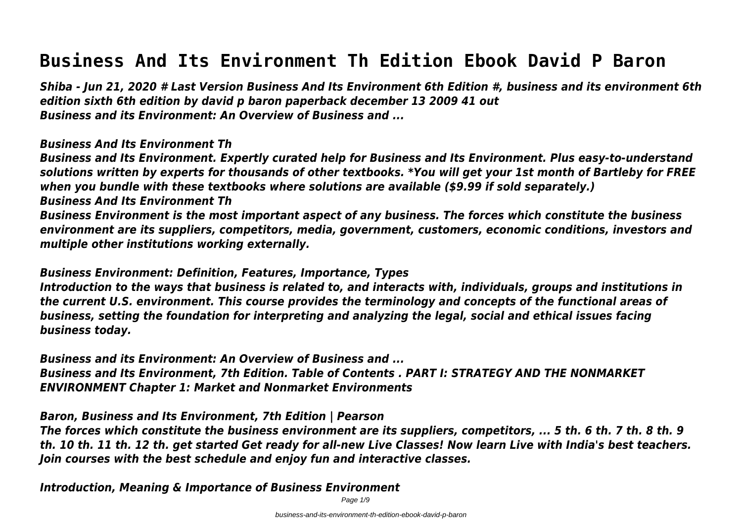# **Business And Its Environment Th Edition Ebook David P Baron**

*Shiba - Jun 21, 2020 # Last Version Business And Its Environment 6th Edition #, business and its environment 6th edition sixth 6th edition by david p baron paperback december 13 2009 41 out Business and its Environment: An Overview of Business and ...*

#### *Business And Its Environment Th*

*Business and Its Environment. Expertly curated help for Business and Its Environment. Plus easy-to-understand solutions written by experts for thousands of other textbooks. \*You will get your 1st month of Bartleby for FREE when you bundle with these textbooks where solutions are available (\$9.99 if sold separately.)*

*Business And Its Environment Th*

*Business Environment is the most important aspect of any business. The forces which constitute the business environment are its suppliers, competitors, media, government, customers, economic conditions, investors and multiple other institutions working externally.*

*Business Environment: Definition, Features, Importance, Types*

*Introduction to the ways that business is related to, and interacts with, individuals, groups and institutions in the current U.S. environment. This course provides the terminology and concepts of the functional areas of business, setting the foundation for interpreting and analyzing the legal, social and ethical issues facing business today.*

*Business and its Environment: An Overview of Business and ... Business and Its Environment, 7th Edition. Table of Contents . PART I: STRATEGY AND THE NONMARKET ENVIRONMENT Chapter 1: Market and Nonmarket Environments*

*Baron, Business and Its Environment, 7th Edition | Pearson*

*The forces which constitute the business environment are its suppliers, competitors, ... 5 th. 6 th. 7 th. 8 th. 9 th. 10 th. 11 th. 12 th. get started Get ready for all-new Live Classes! Now learn Live with India's best teachers. Join courses with the best schedule and enjoy fun and interactive classes.*

*Introduction, Meaning & Importance of Business Environment*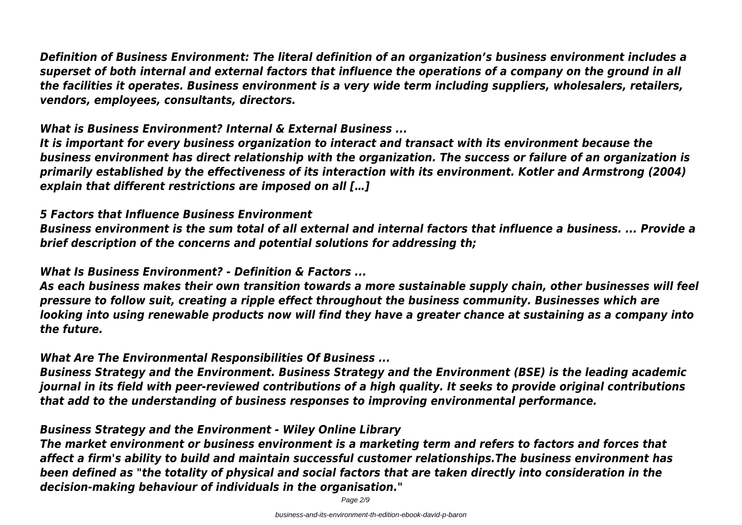*superset of both internal and external factors that influence the operations of a company on the ground in all the facilities it operates. Business environment is a very wide term including suppliers, wholesalers, retailers, vendors, employees, consultants, directors.*

## *What is Business Environment? Internal & External Business ...*

*It is important for every business organization to interact and transact with its environment because the business environment has direct relationship with the organization. The success or failure of an organization is primarily established by the effectiveness of its interaction with its environment. Kotler and Armstrong (2004) explain that different restrictions are imposed on all […]*

## *5 Factors that Influence Business Environment*

*Business environment is the sum total of all external and internal factors that influence a business. ... Provide a brief description of the concerns and potential solutions for addressing th;*

## *What Is Business Environment? - Definition & Factors ...*

*As each business makes their own transition towards a more sustainable supply chain, other businesses will feel pressure to follow suit, creating a ripple effect throughout the business community. Businesses which are looking into using renewable products now will find they have a greater chance at sustaining as a company into the future.*

## *What Are The Environmental Responsibilities Of Business ...*

*Business Strategy and the Environment. Business Strategy and the Environment (BSE) is the leading academic journal in its field with peer-reviewed contributions of a high quality. It seeks to provide original contributions that add to the understanding of business responses to improving environmental performance.*

## *Business Strategy and the Environment - Wiley Online Library*

*The market environment or business environment is a marketing term and refers to factors and forces that affect a firm's ability to build and maintain successful customer relationships.The business environment has been defined as "the totality of physical and social factors that are taken directly into consideration in the decision-making behaviour of individuals in the organisation."*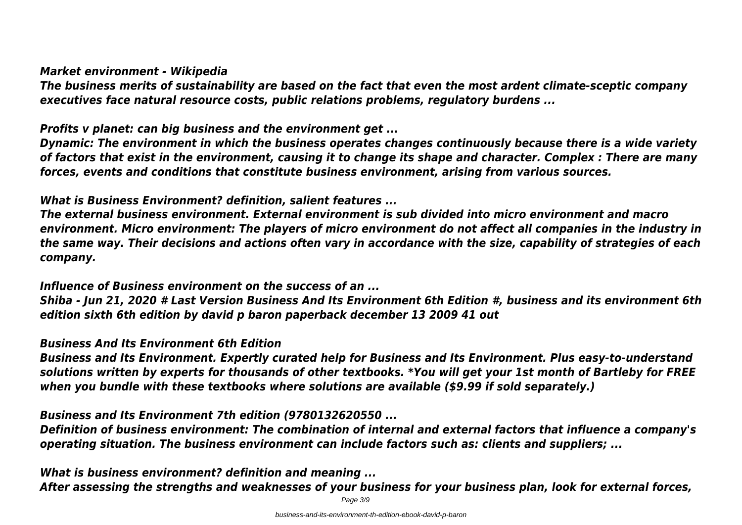## *Market environment - Wikipedia*

*The business merits of sustainability are based on the fact that even the most ardent climate-sceptic company executives face natural resource costs, public relations problems, regulatory burdens ...*

## *Profits v planet: can big business and the environment get ...*

*Dynamic: The environment in which the business operates changes continuously because there is a wide variety of factors that exist in the environment, causing it to change its shape and character. Complex : There are many forces, events and conditions that constitute business environment, arising from various sources.*

## *What is Business Environment? definition, salient features ...*

*The external business environment. External environment is sub divided into micro environment and macro environment. Micro environment: The players of micro environment do not affect all companies in the industry in the same way. Their decisions and actions often vary in accordance with the size, capability of strategies of each company.*

## *Influence of Business environment on the success of an ...*

*Shiba - Jun 21, 2020 # Last Version Business And Its Environment 6th Edition #, business and its environment 6th edition sixth 6th edition by david p baron paperback december 13 2009 41 out*

## *Business And Its Environment 6th Edition*

*Business and Its Environment. Expertly curated help for Business and Its Environment. Plus easy-to-understand solutions written by experts for thousands of other textbooks. \*You will get your 1st month of Bartleby for FREE when you bundle with these textbooks where solutions are available (\$9.99 if sold separately.)*

*Business and Its Environment 7th edition (9780132620550 ...*

*Definition of business environment: The combination of internal and external factors that influence a company's operating situation. The business environment can include factors such as: clients and suppliers; ...*

*What is business environment? definition and meaning ...*

*After assessing the strengths and weaknesses of your business for your business plan, look for external forces,*

Page 3/9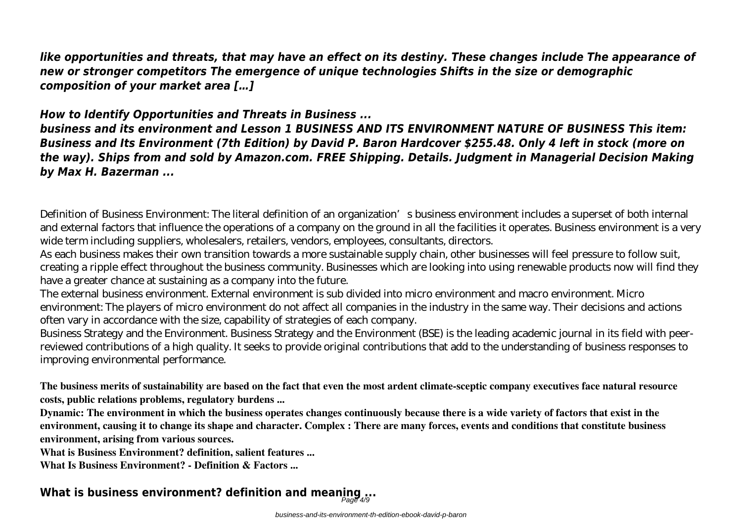*like opportunities and threats, that may have an effect on its destiny. These changes include The appearance of new or stronger competitors The emergence of unique technologies Shifts in the size or demographic composition of your market area […]*

*How to Identify Opportunities and Threats in Business ...*

*business and its environment and Lesson 1 BUSINESS AND ITS ENVIRONMENT NATURE OF BUSINESS This item: Business and Its Environment (7th Edition) by David P. Baron Hardcover \$255.48. Only 4 left in stock (more on the way). Ships from and sold by Amazon.com. FREE Shipping. Details. Judgment in Managerial Decision Making by Max H. Bazerman ...*

Definition of Business Environment: The literal definition of an organization's business environment includes a superset of both internal and external factors that influence the operations of a company on the ground in all the facilities it operates. Business environment is a very wide term including suppliers, wholesalers, retailers, vendors, employees, consultants, directors.

As each business makes their own transition towards a more sustainable supply chain, other businesses will feel pressure to follow suit, creating a ripple effect throughout the business community. Businesses which are looking into using renewable products now will find they have a greater chance at sustaining as a company into the future.

The external business environment. External environment is sub divided into micro environment and macro environment. Micro environment: The players of micro environment do not affect all companies in the industry in the same way. Their decisions and actions often vary in accordance with the size, capability of strategies of each company.

Business Strategy and the Environment. Business Strategy and the Environment (BSE) is the leading academic journal in its field with peerreviewed contributions of a high quality. It seeks to provide original contributions that add to the understanding of business responses to improving environmental performance.

**The business merits of sustainability are based on the fact that even the most ardent climate-sceptic company executives face natural resource costs, public relations problems, regulatory burdens ...**

**Dynamic: The environment in which the business operates changes continuously because there is a wide variety of factors that exist in the environment, causing it to change its shape and character. Complex : There are many forces, events and conditions that constitute business environment, arising from various sources.**

**What is Business Environment? definition, salient features ...**

**What Is Business Environment? - Definition & Factors ...**

## **What is business environment? definition and meaning ...**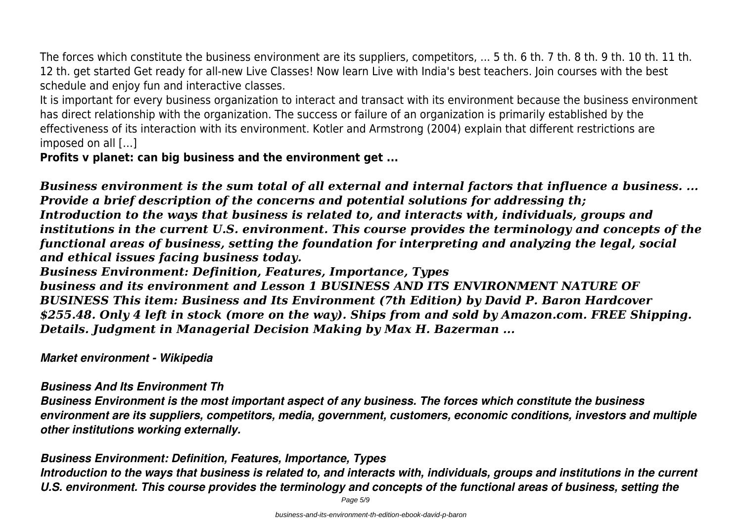The forces which constitute the business environment are its suppliers, competitors, ... 5 th. 6 th. 7 th. 8 th. 9 th. 10 th. 11 th. 12 th. get started Get ready for all-new Live Classes! Now learn Live with India's best teachers. Join courses with the best schedule and enjoy fun and interactive classes.

It is important for every business organization to interact and transact with its environment because the business environment has direct relationship with the organization. The success or failure of an organization is primarily established by the effectiveness of its interaction with its environment. Kotler and Armstrong (2004) explain that different restrictions are imposed on all […]

**Profits v planet: can big business and the environment get ...**

*Business environment is the sum total of all external and internal factors that influence a business. ... Provide a brief description of the concerns and potential solutions for addressing th; Introduction to the ways that business is related to, and interacts with, individuals, groups and institutions in the current U.S. environment. This course provides the terminology and concepts of the functional areas of business, setting the foundation for interpreting and analyzing the legal, social and ethical issues facing business today.*

*Business Environment: Definition, Features, Importance, Types*

*business and its environment and Lesson 1 BUSINESS AND ITS ENVIRONMENT NATURE OF BUSINESS This item: Business and Its Environment (7th Edition) by David P. Baron Hardcover \$255.48. Only 4 left in stock (more on the way). Ships from and sold by Amazon.com. FREE Shipping. Details. Judgment in Managerial Decision Making by Max H. Bazerman ...*

*Market environment - Wikipedia*

#### *Business And Its Environment Th*

*Business Environment is the most important aspect of any business. The forces which constitute the business environment are its suppliers, competitors, media, government, customers, economic conditions, investors and multiple other institutions working externally.*

#### *Business Environment: Definition, Features, Importance, Types*

*Introduction to the ways that business is related to, and interacts with, individuals, groups and institutions in the current U.S. environment. This course provides the terminology and concepts of the functional areas of business, setting the*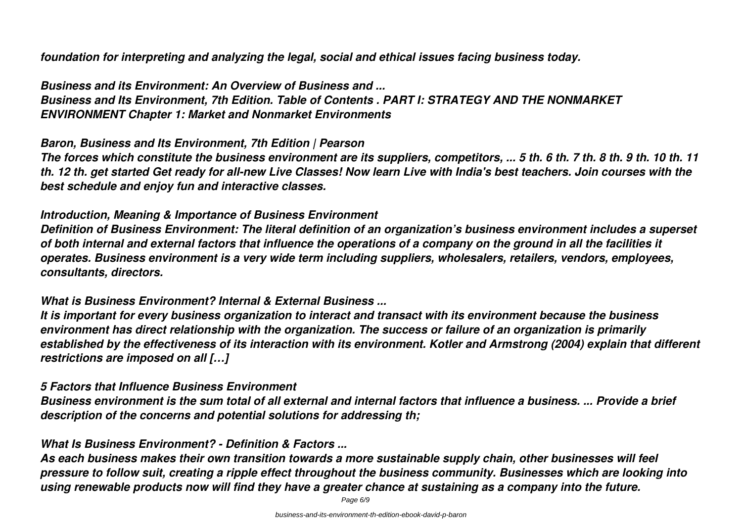*foundation for interpreting and analyzing the legal, social and ethical issues facing business today.*

*Business and its Environment: An Overview of Business and ... Business and Its Environment, 7th Edition. Table of Contents . PART I: STRATEGY AND THE NONMARKET ENVIRONMENT Chapter 1: Market and Nonmarket Environments*

*Baron, Business and Its Environment, 7th Edition | Pearson*

*The forces which constitute the business environment are its suppliers, competitors, ... 5 th. 6 th. 7 th. 8 th. 9 th. 10 th. 11 th. 12 th. get started Get ready for all-new Live Classes! Now learn Live with India's best teachers. Join courses with the best schedule and enjoy fun and interactive classes.*

## *Introduction, Meaning & Importance of Business Environment*

*Definition of Business Environment: The literal definition of an organization's business environment includes a superset of both internal and external factors that influence the operations of a company on the ground in all the facilities it operates. Business environment is a very wide term including suppliers, wholesalers, retailers, vendors, employees, consultants, directors.*

## *What is Business Environment? Internal & External Business ...*

*It is important for every business organization to interact and transact with its environment because the business environment has direct relationship with the organization. The success or failure of an organization is primarily established by the effectiveness of its interaction with its environment. Kotler and Armstrong (2004) explain that different restrictions are imposed on all […]*

## *5 Factors that Influence Business Environment*

*Business environment is the sum total of all external and internal factors that influence a business. ... Provide a brief description of the concerns and potential solutions for addressing th;*

## *What Is Business Environment? - Definition & Factors ...*

*As each business makes their own transition towards a more sustainable supply chain, other businesses will feel pressure to follow suit, creating a ripple effect throughout the business community. Businesses which are looking into using renewable products now will find they have a greater chance at sustaining as a company into the future.*

Page 6/9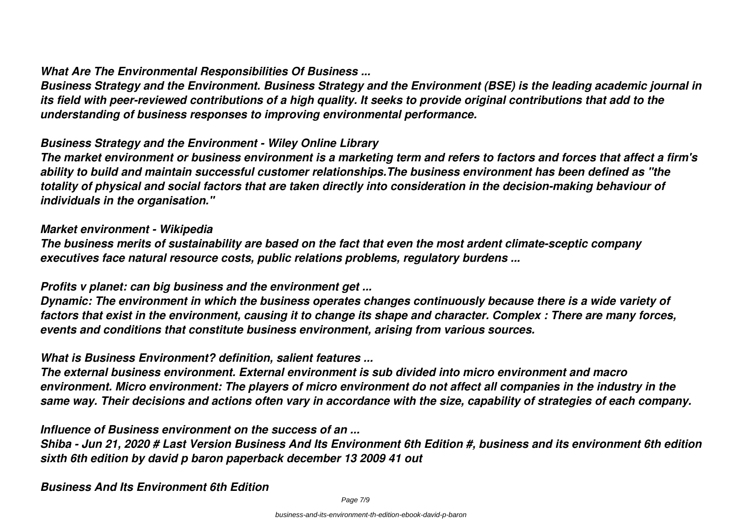#### *What Are The Environmental Responsibilities Of Business ...*

*Business Strategy and the Environment. Business Strategy and the Environment (BSE) is the leading academic journal in its field with peer-reviewed contributions of a high quality. It seeks to provide original contributions that add to the understanding of business responses to improving environmental performance.*

#### *Business Strategy and the Environment - Wiley Online Library*

*The market environment or business environment is a marketing term and refers to factors and forces that affect a firm's ability to build and maintain successful customer relationships.The business environment has been defined as "the totality of physical and social factors that are taken directly into consideration in the decision-making behaviour of individuals in the organisation."*

#### *Market environment - Wikipedia*

*The business merits of sustainability are based on the fact that even the most ardent climate-sceptic company executives face natural resource costs, public relations problems, regulatory burdens ...*

#### *Profits v planet: can big business and the environment get ...*

*Dynamic: The environment in which the business operates changes continuously because there is a wide variety of factors that exist in the environment, causing it to change its shape and character. Complex : There are many forces, events and conditions that constitute business environment, arising from various sources.*

#### *What is Business Environment? definition, salient features ...*

*The external business environment. External environment is sub divided into micro environment and macro environment. Micro environment: The players of micro environment do not affect all companies in the industry in the same way. Their decisions and actions often vary in accordance with the size, capability of strategies of each company.*

#### *Influence of Business environment on the success of an ...*

*Shiba - Jun 21, 2020 # Last Version Business And Its Environment 6th Edition #, business and its environment 6th edition sixth 6th edition by david p baron paperback december 13 2009 41 out*

*Business And Its Environment 6th Edition*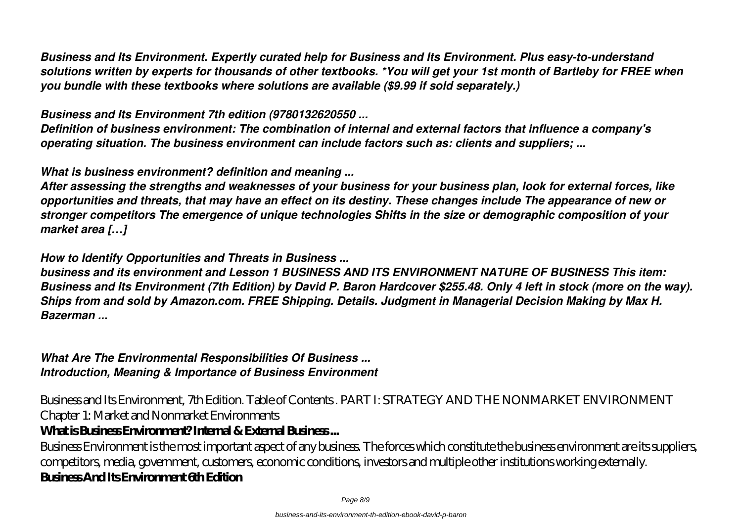*Business and Its Environment. Expertly curated help for Business and Its Environment. Plus easy-to-understand solutions written by experts for thousands of other textbooks. \*You will get your 1st month of Bartleby for FREE when you bundle with these textbooks where solutions are available (\$9.99 if sold separately.)*

#### *Business and Its Environment 7th edition (9780132620550 ...*

*Definition of business environment: The combination of internal and external factors that influence a company's operating situation. The business environment can include factors such as: clients and suppliers; ...*

#### *What is business environment? definition and meaning ...*

*After assessing the strengths and weaknesses of your business for your business plan, look for external forces, like opportunities and threats, that may have an effect on its destiny. These changes include The appearance of new or stronger competitors The emergence of unique technologies Shifts in the size or demographic composition of your market area […]*

#### *How to Identify Opportunities and Threats in Business ...*

*business and its environment and Lesson 1 BUSINESS AND ITS ENVIRONMENT NATURE OF BUSINESS This item: Business and Its Environment (7th Edition) by David P. Baron Hardcover \$255.48. Only 4 left in stock (more on the way). Ships from and sold by Amazon.com. FREE Shipping. Details. Judgment in Managerial Decision Making by Max H. Bazerman ...*

#### *What Are The Environmental Responsibilities Of Business ... Introduction, Meaning & Importance of Business Environment*

Business and Its Environment, 7th Edition. Table of Contents . PART I: STRATEGY AND THE NONMARKET ENVIRONMENT Chapter 1: Market and Nonmarket Environments

## **What is Business Environment? Internal & External Business ...**

Business Environment is the most important aspect of any business. The forces which constitute the business environment are its suppliers, competitors, media, government, customers, economic conditions, investors and multiple other institutions working externally. **Business And Its Environment 6th Edition**